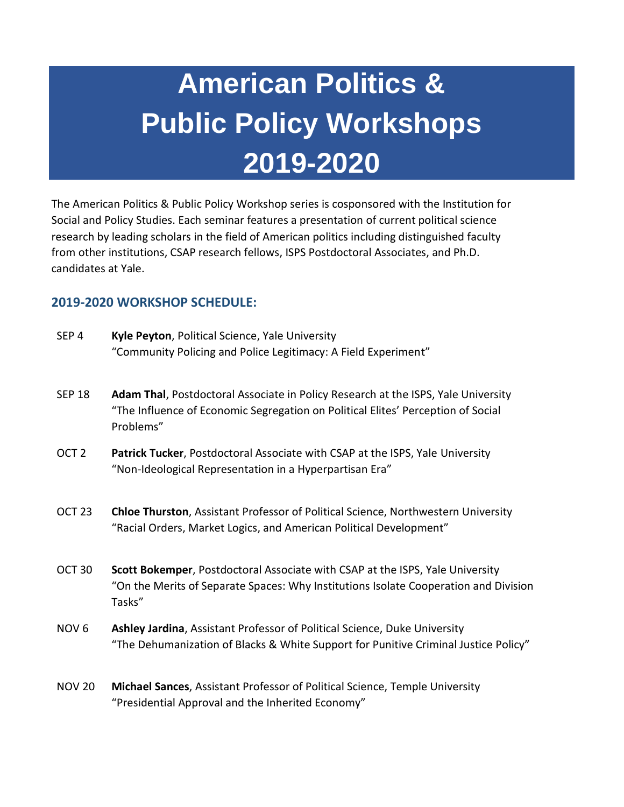## **American Politics & Public Policy Workshops 2019-2020**

The American Politics & Public Policy Workshop series is cosponsored with the Institution for Social and Policy Studies. Each seminar features a presentation of current political science research by leading scholars in the field of American politics including distinguished faculty from other institutions, CSAP research fellows, ISPS Postdoctoral Associates, and Ph.D. candidates at Yale.

## **2019-2020 WORKSHOP SCHEDULE:**

| SEP <sub>4</sub> | Kyle Peyton, Political Science, Yale University                |
|------------------|----------------------------------------------------------------|
|                  | "Community Policing and Police Legitimacy: A Field Experiment" |

- SEP 18 **Adam Thal**, Postdoctoral Associate in Policy Research at the ISPS, Yale University "The Influence of Economic Segregation on Political Elites' Perception of Social Problems"
- OCT 2 **Patrick Tucker**, Postdoctoral Associate with CSAP at the ISPS, Yale University "Non-Ideological Representation in a Hyperpartisan Era"
- OCT 23 **Chloe Thurston**, Assistant Professor of Political Science, Northwestern University "Racial Orders, Market Logics, and American Political Development"
- OCT 30 **Scott Bokemper**, Postdoctoral Associate with CSAP at the ISPS, Yale University "On the Merits of Separate Spaces: Why Institutions Isolate Cooperation and Division Tasks"
- NOV 6 **Ashley Jardina**, Assistant Professor of Political Science, Duke University "The Dehumanization of Blacks & White Support for Punitive Criminal Justice Policy"
- NOV 20 **Michael Sances**, Assistant Professor of Political Science, Temple University "Presidential Approval and the Inherited Economy"